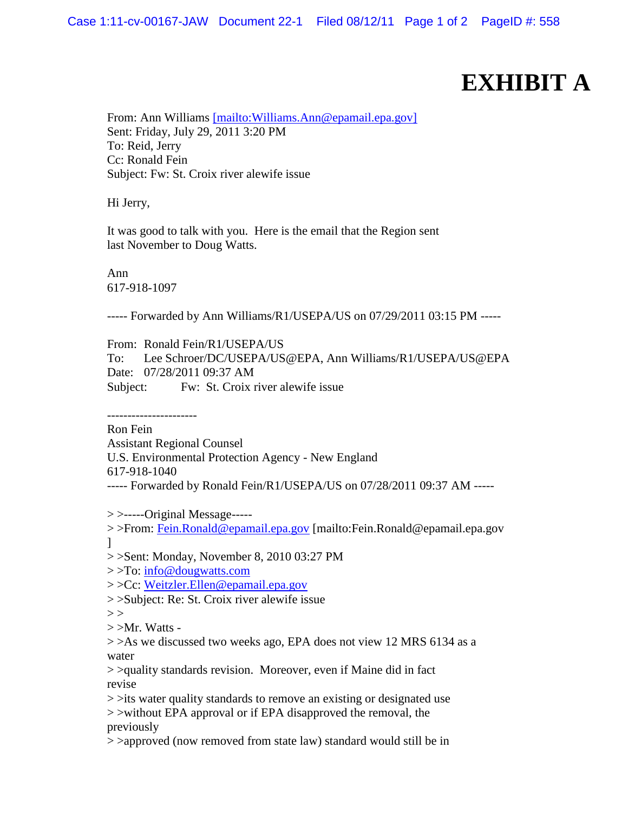## **EXHIBIT A**

From: Ann Williams [mailto: Williams. Ann@epamail.epa.gov] Sent: Friday, July 29, 2011 3:20 PM To: Reid, Jerry Cc: Ronald Fein Subject: Fw: St. Croix river alewife issue

Hi Jerry,

It was good to talk with you. Here is the email that the Region sent last November to Doug Watts.

Ann 617-918-1097

----- Forwarded by Ann Williams/R1/USEPA/US on 07/29/2011 03:15 PM -----

From: Ronald Fein/R1/USEPA/US

To: Lee Schroer/DC/USEPA/US@EPA, Ann Williams/R1/USEPA/US@EPA Date: 07/28/2011 09:37 AM Subject: Fw: St. Croix river alewife issue

----------------------

Ron Fein

Assistant Regional Counsel

U.S. Environmental Protection Agency - New England

617-918-1040

----- Forwarded by Ronald Fein/R1/USEPA/US on 07/28/2011 09:37 AM -----

 $>$  >-----Original Message-----

>>From: [Fein.Ronald@epamail.epa.gov](mailto:Fein.Ronald@epamail.epa.gov) [mailto:Fein.Ronald@epamail.epa.gov ]

> >Sent: Monday, November 8, 2010 03:27 PM

> >To: [info@dougwatts.com](mailto:info@dougwatts.com)

> >Cc: [Weitzler.Ellen@epamail.epa.gov](mailto:Weitzler.Ellen@epamail.epa.gov)

> >Subject: Re: St. Croix river alewife issue

 $>$ 

 $>>Mr.$  Watts -

> >As we discussed two weeks ago, EPA does not view 12 MRS 6134 as a water

> >quality standards revision. Moreover, even if Maine did in fact revise

 $\ge$   $\ge$ its water quality standards to remove an existing or designated use > >without EPA approval or if EPA disapproved the removal, the previously

> >approved (now removed from state law) standard would still be in